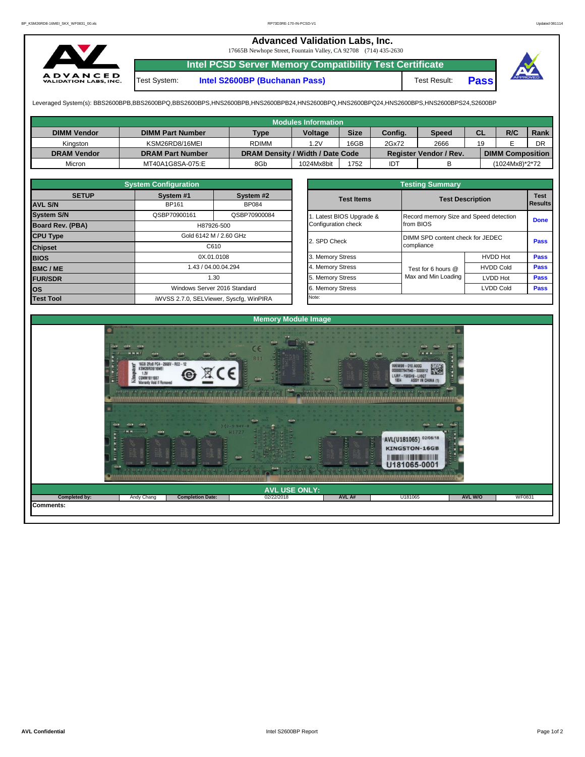## **Advanced Validation Labs, Inc.**

17665B Newhope Street, Fountain Valley, CA 92708 (714) 435-2630



**Intel PCSD Server Memory Compatibility Test Certificate** Test System: **Intel S2600BP (Buchanan Pass)** Test Result: **Pass**



Leveraged System(s): BBS2600BPB,BBS2600BPQ,BBS2600BPS,HNS2600BPB,HNS2600BPB24,HNS2600BPQ,HNS2600BPQ24,HNS2600BPS,HNS2600BPS24,S2600BP

|                    |                         |                                  | Modules Information |             |         |                               |           |                         |      |
|--------------------|-------------------------|----------------------------------|---------------------|-------------|---------|-------------------------------|-----------|-------------------------|------|
| <b>DIMM Vendor</b> | <b>DIMM Part Number</b> | <b>Type</b>                      | <b>Voltage</b>      | <b>Size</b> | Config. | Speed                         | <b>CL</b> | R/C                     | Rank |
| Kinaston           | KSM26RD8/16MEI          | <b>RDIMM</b>                     | .2V                 | 16GB        | 2Gx72   | 2666                          | 19        |                         | DR   |
| <b>DRAM Vendor</b> | <b>DRAM Part Number</b> | DRAM Density / Width / Date Code |                     |             |         | <b>Register Vendor / Rev.</b> |           | <b>DIMM Composition</b> |      |
| Micron             | MT40A1G8SA-075:E        | 8Gb                              | 1024Mx8bit          | 1752        | IDT     |                               |           | (1024Mx8)*2*72          |      |

|                         | <b>System Configuration</b> |                                         | <b>Testing Summary</b>   |                                        |                         |             |  |  |  |  |  |
|-------------------------|-----------------------------|-----------------------------------------|--------------------------|----------------------------------------|-------------------------|-------------|--|--|--|--|--|
| <b>SETUP</b>            | System #1                   | System #2                               | <b>Test Items</b>        |                                        | <b>Test Description</b> | <b>Test</b> |  |  |  |  |  |
| <b>AVL S/N</b>          | BP161                       | <b>BP084</b>                            |                          |                                        | Results                 |             |  |  |  |  |  |
| <b>System S/N</b>       | QSBP70900161                | QSBP70900084                            | 1. Latest BIOS Upgrade & | Record memory Size and Speed detection |                         | <b>Done</b> |  |  |  |  |  |
| <b>Board Rev. (PBA)</b> |                             | H87926-500                              | Configuration check      | from BIOS                              |                         |             |  |  |  |  |  |
| <b>CPU Type</b>         | Gold 6142 M / 2.60 GHz      |                                         | 2. SPD Check             | DIMM SPD content check for JEDEC       |                         |             |  |  |  |  |  |
| <b>Chipset</b>          | C610                        |                                         |                          | compliance                             |                         | <b>Pass</b> |  |  |  |  |  |
| <b>BIOS</b>             |                             | 0X.01.0108                              | 3. Memory Stress         |                                        | <b>HVDD Hot</b>         | <b>Pass</b> |  |  |  |  |  |
| <b>BMC/ME</b>           |                             | 1.43 / 04.00.04.294                     | 4. Memory Stress         | Test for 6 hours @                     | <b>HVDD Cold</b>        | Pass        |  |  |  |  |  |
| <b>FUR/SDR</b>          |                             | 1.30                                    | 5. Memory Stress         | Max and Min Loading                    | <b>LVDD Hot</b>         | <b>Pass</b> |  |  |  |  |  |
| <b>los</b>              |                             | Windows Server 2016 Standard            | 6. Memory Stress         |                                        | <b>LVDD Cold</b>        | <b>Pass</b> |  |  |  |  |  |
| <b>Test Tool</b>        |                             | iWVSS 2.7.0, SELViewer, Syscfg, WinPIRA | Note:                    |                                        |                         |             |  |  |  |  |  |

| <b>System Configuration</b> |              |                                    | <b>Testing Summary</b> |                                  |                                        |                |  |  |  |  |
|-----------------------------|--------------|------------------------------------|------------------------|----------------------------------|----------------------------------------|----------------|--|--|--|--|
| <b>SETUP</b>                | System #1    | System #2                          | <b>Test Items</b>      | <b>Test Description</b>          |                                        | <b>Test</b>    |  |  |  |  |
|                             | BP161        | <b>BP084</b>                       |                        |                                  |                                        | <b>Results</b> |  |  |  |  |
|                             | QSBP70900161 | QSBP70900084                       | Latest BIOS Upgrade &  |                                  | Record memory Size and Speed detection |                |  |  |  |  |
| PBA)                        |              | H87926-500                         | Configuration check    | from BIOS                        |                                        |                |  |  |  |  |
|                             |              | Gold 6142 M / 2.60 GHz             |                        | DIMM SPD content check for JEDEC | Pass                                   |                |  |  |  |  |
|                             |              | C610                               | 2. SPD Check           | compliance                       |                                        |                |  |  |  |  |
|                             |              | 0X.01.0108                         | 3. Memory Stress       |                                  | <b>HVDD Hot</b>                        | <b>Pass</b>    |  |  |  |  |
|                             |              | 1.43 / 04.00.04.294                | 4. Memory Stress       | Test for 6 hours @               | <b>HVDD Cold</b>                       | Pass           |  |  |  |  |
|                             |              | 1.30                               | 5. Memory Stress       | Max and Min Loading              | LVDD Hot                               | Pass           |  |  |  |  |
|                             |              | Windows Server 2016 Standard       | 6. Memory Stress       |                                  | <b>LVDD Cold</b>                       | Pass           |  |  |  |  |
|                             |              | iMVSS 270 SELViewer Svecta WinPIRA | Note:                  |                                  |                                        |                |  |  |  |  |